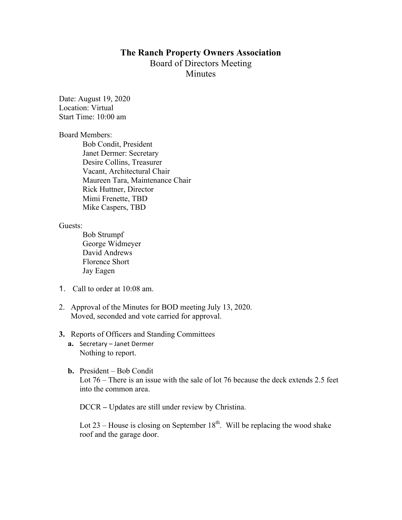# **The Ranch Property Owners Association** Board of Directors Meeting **Minutes**

Date: August 19, 2020 Location: Virtual Start Time: 10:00 am

#### Board Members:

Bob Condit, President Janet Dermer: Secretary Desire Collins, Treasurer Vacant, Architectural Chair Maureen Tara, Maintenance Chair Rick Huttner, Director Mimi Frenette, TBD Mike Caspers, TBD

Guests:

Bob Strumpf George Widmeyer David Andrews Florence Short Jay Eagen

- 1. Call to order at 10:08 am.
- 2. Approval of the Minutes for BOD meeting July 13, 2020. Moved, seconded and vote carried for approval.

#### **3.** Reports of Officers and Standing Committees

- **a.** Secretary Janet Dermer Nothing to report.
- **b.** President Bob Condit Lot 76 – There is an issue with the sale of lot 76 because the deck extends 2.5 feet into the common area.

DCCR **–** Updates are still under review by Christina.

Lot  $23$  – House is closing on September 18<sup>th</sup>. Will be replacing the wood shake roof and the garage door.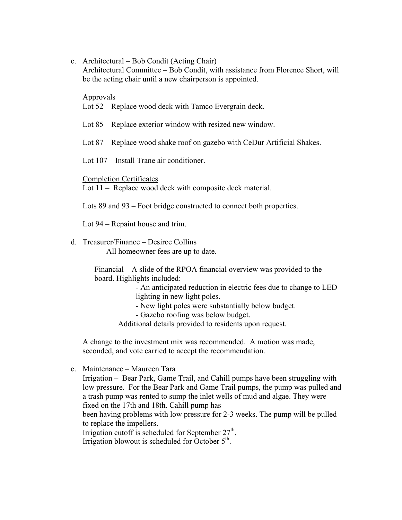c. Architectural – Bob Condit (Acting Chair)

Architectural Committee – Bob Condit, with assistance from Florence Short, will be the acting chair until a new chairperson is appointed.

#### Approvals

Lot 52 – Replace wood deck with Tamco Evergrain deck.

Lot 85 – Replace exterior window with resized new window.

Lot 87 – Replace wood shake roof on gazebo with CeDur Artificial Shakes.

Lot 107 – Install Trane air conditioner.

Completion Certificates

Lot 11 – Replace wood deck with composite deck material.

Lots 89 and 93 – Foot bridge constructed to connect both properties.

Lot 94 – Repaint house and trim.

## d. Treasurer/Finance – Desiree Collins

All homeowner fees are up to date.

Financial – A slide of the RPOA financial overview was provided to the board. Highlights included:

> - An anticipated reduction in electric fees due to change to LED lighting in new light poles.

- New light poles were substantially below budget.

- Gazebo roofing was below budget.

Additional details provided to residents upon request.

A change to the investment mix was recommended. A motion was made, seconded, and vote carried to accept the recommendation.

e. Maintenance – Maureen Tara

Irrigation – Bear Park, Game Trail, and Cahill pumps have been struggling with low pressure. For the Bear Park and Game Trail pumps, the pump was pulled and a trash pump was rented to sump the inlet wells of mud and algae. They were fixed on the 17th and 18th. Cahill pump has

been having problems with low pressure for 2-3 weeks. The pump will be pulled to replace the impellers.

Irrigation cutoff is scheduled for September  $27<sup>th</sup>$ .

Irrigation blowout is scheduled for October  $5<sup>th</sup>$ .